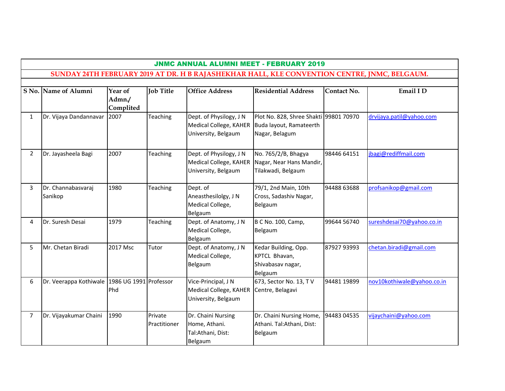|                | <b>JNMC ANNUAL ALUMNI MEET - FEBRUARY 2019</b>                                               |                                |                         |                                                                          |                                                                                     |             |                            |  |  |  |  |  |
|----------------|----------------------------------------------------------------------------------------------|--------------------------------|-------------------------|--------------------------------------------------------------------------|-------------------------------------------------------------------------------------|-------------|----------------------------|--|--|--|--|--|
|                | SUNDAY 24TH FEBRUARY 2019 AT DR. H B RAJASHEKHAR HALL, KLE CONVENTION CENTRE, JNMC, BELGAUM. |                                |                         |                                                                          |                                                                                     |             |                            |  |  |  |  |  |
|                |                                                                                              |                                |                         |                                                                          |                                                                                     |             |                            |  |  |  |  |  |
|                | S No. Name of Alumni                                                                         | Year of<br>Admn./<br>Complited | <b>Job Title</b>        | <b>Office Address</b>                                                    | <b>Residential Address</b>                                                          | Contact No. | Email I D                  |  |  |  |  |  |
| $\mathbf{1}$   | Dr. Vijaya Dandannavar                                                                       | 2007                           | Teaching                | Dept. of Physilogy, J N<br>Medical College, KAHER<br>University, Belgaum | Plot No. 828, Shree Shakti 99801 70970<br>Buda layout, Ramateerth<br>Nagar, Belagum |             | drvijaya.patil@yahoo.com   |  |  |  |  |  |
| $\overline{2}$ | Dr. Jayasheela Bagi                                                                          | 2007                           | <b>Teaching</b>         | Dept. of Physilogy, J N<br>Medical College, KAHER<br>University, Belgaum | No. 765/2/B, Bhagya<br>Nagar, Near Hans Mandir,<br>Tilakwadi, Belgaum               | 98446 64151 | jbagi@rediffmail.com       |  |  |  |  |  |
| 3              | Dr. Channabasvaraj<br>Sanikop                                                                | 1980                           | <b>Teaching</b>         | Dept. of<br>Aneasthesilolgy, J N<br>Medical College,<br>Belgaum          | 79/1, 2nd Main, 10th<br>Cross, Sadashiv Nagar,<br>Belgaum                           | 94488 63688 | profsanikop@gmail.com      |  |  |  |  |  |
| 4              | Dr. Suresh Desai                                                                             | 1979                           | <b>Teaching</b>         | Dept. of Anatomy, J N<br>Medical College,<br>Belgaum                     | <b>B C No. 100, Camp,</b><br>Belgaum                                                | 99644 56740 | sureshdesai70@yahoo.co.in  |  |  |  |  |  |
| 5              | Mr. Chetan Biradi                                                                            | 2017 Msc                       | Tutor                   | Dept. of Anatomy, J N<br>Medical College,<br>Belgaum                     | Kedar Building, Opp.<br>KPTCL Bhavan,<br>Shivabasav nagar,<br>Belgaum               | 87927 93993 | chetan.biradi@gmail.com    |  |  |  |  |  |
| 6              | Dr. Veerappa Kothiwale   1986 UG 1991   Professor                                            | Phd                            |                         | Vice-Principal, J N<br>Medical College, KAHER<br>University, Belgaum     | 673, Sector No. 13, T V<br>Centre, Belagavi                                         | 94481 19899 | nov10kothiwale@yahoo.co.in |  |  |  |  |  |
| $\overline{7}$ | Dr. Vijayakumar Chaini                                                                       | 1990                           | Private<br>Practitioner | Dr. Chaini Nursing<br>Home, Athani.<br>Tal:Athani, Dist:<br>Belgaum      | Dr. Chaini Nursing Home,<br>Athani. Tal:Athani, Dist:<br>Belgaum                    | 94483 04535 | vijaychaini@yahoo.com      |  |  |  |  |  |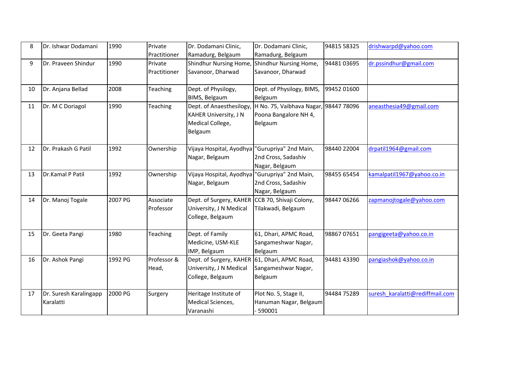| 8  | Dr. Ishwar Dodamani     | 1990    | Private         | Dr. Dodamani Clinic,                           | Dr. Dodamani Clinic,                  | 94815 58325 | drishwarpd@yahoo.com            |
|----|-------------------------|---------|-----------------|------------------------------------------------|---------------------------------------|-------------|---------------------------------|
|    |                         |         | Practitioner    | Ramadurg, Belgaum                              | Ramadurg, Belgaum                     |             |                                 |
| 9  | Dr. Praveen Shindur     | 1990    | Private         | Shindhur Nursing Home                          | Shindhur Nursing Home,                | 9448103695  | dr.pssindhur@gmail.com          |
|    |                         |         | Practitioner    | Savanoor, Dharwad                              | Savanoor, Dharwad                     |             |                                 |
|    |                         |         |                 |                                                |                                       |             |                                 |
| 10 | Dr. Anjana Bellad       | 2008    | Teaching        | Dept. of Physilogy,                            | Dept. of Physilogy, BIMS,             | 99452 01600 |                                 |
|    |                         |         |                 | BIMS, Belgaum                                  | Belgaum                               |             |                                 |
| 11 | Dr. M C Doriagol        | 1990    | <b>Teaching</b> | Dept. of Anaesthesilogy,                       | H No. 75, Vaibhava Nagar, 98447 78096 |             | aneasthesia49@gmail.com         |
|    |                         |         |                 | KAHER University, J N                          | Poona Bangalore NH 4,                 |             |                                 |
|    |                         |         |                 | Medical College,                               | Belgaum                               |             |                                 |
|    |                         |         |                 | Belgaum                                        |                                       |             |                                 |
|    |                         |         |                 |                                                |                                       |             |                                 |
| 12 | Dr. Prakash G Patil     | 1992    | Ownership       | Vijaya Hospital, Ayodhya "Gurupriya" 2nd Main, |                                       | 98440 22004 | drpatil1964@gmail.com           |
|    |                         |         |                 | Nagar, Belgaum                                 | 2nd Cross, Sadashiv                   |             |                                 |
|    |                         |         |                 |                                                | Nagar, Belgaum                        |             |                                 |
| 13 | <b>Dr.Kamal P Patil</b> | 1992    | Ownership       | Vijaya Hospital, Ayodhya                       | "Gurupriya" 2nd Main,                 | 98455 65454 | kamalpatil1967@yahoo.co.in      |
|    |                         |         |                 | Nagar, Belgaum                                 | 2nd Cross, Sadashiv                   |             |                                 |
|    |                         |         |                 |                                                | Nagar, Belgaum                        |             |                                 |
| 14 | Dr. Manoj Togale        | 2007 PG | Associate       | Dept. of Surgery, KAHER                        | CCB 70, Shivaji Colony,               | 98447 06266 | zapmanojtogale@yahoo.com        |
|    |                         |         | Professor       | University, J N Medical                        | Tilakwadi, Belgaum                    |             |                                 |
|    |                         |         |                 | College, Belgaum                               |                                       |             |                                 |
|    |                         |         |                 |                                                |                                       |             |                                 |
| 15 | Dr. Geeta Pangi         | 1980    | <b>Teaching</b> | Dept. of Family                                | 61, Dhari, APMC Road,                 | 9886707651  | pangigeeta@yahoo.co.in          |
|    |                         |         |                 | Medicine, USM-KLE                              | Sangameshwar Nagar,                   |             |                                 |
|    |                         |         |                 | IMP, Belgaum                                   | Belgaum                               |             |                                 |
| 16 | Dr. Ashok Pangi         | 1992 PG | Professor &     | Dept. of Surgery, KAHER                        | 61, Dhari, APMC Road,                 | 94481 43390 | pangiashok@yahoo.co.in          |
|    |                         |         | Head,           | University, J N Medical                        | Sangameshwar Nagar,                   |             |                                 |
|    |                         |         |                 | College, Belgaum                               | Belgaum                               |             |                                 |
|    |                         |         |                 |                                                |                                       |             |                                 |
| 17 | Dr. Suresh Karalingapp  | 2000 PG | Surgery         | Heritage Institute of                          | Plot No. 5, Stage II,                 | 94484 75289 | suresh karalatti@rediffmail.com |
|    | Karalatti               |         |                 | Medical Sciences,                              | Hanuman Nagar, Belgaum                |             |                                 |
|    |                         |         |                 | Varanashi                                      | 590001                                |             |                                 |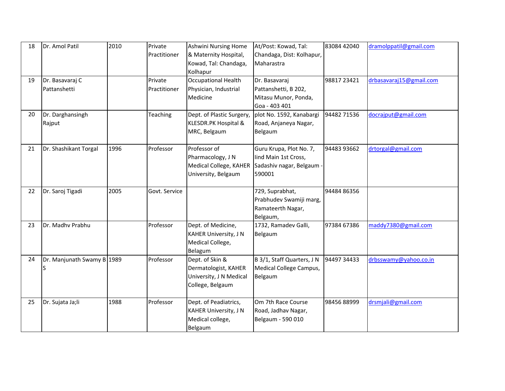| 18 | Dr. Amol Patil             | 2010 | Private       | <b>Ashwini Nursing Home</b>  | At/Post: Kowad, Tal:       | 83084 42040 | dramolppatil@gmail.com  |
|----|----------------------------|------|---------------|------------------------------|----------------------------|-------------|-------------------------|
|    |                            |      | Practitioner  | & Maternity Hospital,        | Chandaga, Dist: Kolhapur,  |             |                         |
|    |                            |      |               | Kowad, Tal: Chandaga,        | Maharastra                 |             |                         |
|    |                            |      |               | Kolhapur                     |                            |             |                         |
| 19 | Dr. Basavaraj C            |      | Private       | <b>Occupational Health</b>   | Dr. Basavaraj              | 98817 23421 | drbasavaraj15@gmail.com |
|    | Pattanshetti               |      | Practitioner  | Physician, Industrial        | Pattanshetti, B 202,       |             |                         |
|    |                            |      |               | Medicine                     | Mitasu Munor, Ponda,       |             |                         |
|    |                            |      |               |                              | Goa - 403 401              |             |                         |
| 20 | Dr. Darghansingh           |      | Teaching      | Dept. of Plastic Surgery,    | plot No. 1592, Kanabargi   | 94482 71536 | docrajput@gmail.com     |
|    | Rajput                     |      |               | KLESDR.PK Hospital &         | Road, Anjaneya Nagar,      |             |                         |
|    |                            |      |               | MRC, Belgaum                 | Belgaum                    |             |                         |
| 21 | Dr. Shashikant Torgal      | 1996 | Professor     | Professor of                 | Guru Krupa, Plot No. 7,    | 94483 93662 | drtorgal@gmail.com      |
|    |                            |      |               | Pharmacology, J N            | lind Main 1st Cross,       |             |                         |
|    |                            |      |               | Medical College, KAHER       | Sadashiv nagar, Belgaum -  |             |                         |
|    |                            |      |               | University, Belgaum          | 590001                     |             |                         |
|    |                            |      |               |                              |                            |             |                         |
| 22 | Dr. Saroj Tigadi           | 2005 | Govt. Service |                              | 729, Suprabhat,            | 94484 86356 |                         |
|    |                            |      |               |                              | Prabhudev Swamiji marg,    |             |                         |
|    |                            |      |               |                              | Ramateerth Nagar,          |             |                         |
|    |                            |      |               |                              | Belgaum,                   |             |                         |
| 23 | Dr. Madhy Prabhu           |      | Professor     | Dept. of Medicine,           | 1732, Ramadev Galli,       | 97384 67386 | maddy7380@gmail.com     |
|    |                            |      |               | <b>KAHER University, J N</b> | Belgaum                    |             |                         |
|    |                            |      |               | Medical College,             |                            |             |                         |
| 24 | Dr. Manjunath Swamy B 1989 |      | Professor     | Belagum<br>Dept. of Skin &   | B 3/1, Staff Quarters, J N | 94497 34433 | drbsswamy@yahoo.co.in   |
|    |                            |      |               | Dermatologist, KAHER         | Medical College Campus,    |             |                         |
|    |                            |      |               | University, J N Medical      | Belgaum                    |             |                         |
|    |                            |      |               | College, Belgaum             |                            |             |                         |
|    |                            |      |               |                              |                            |             |                         |
| 25 | Dr. Sujata Ja;li           | 1988 | Professor     | Dept. of Peadiatrics,        | Om 7th Race Course         | 9845688999  | drsmjali@gmail.com      |
|    |                            |      |               | <b>KAHER University, J N</b> | Road, Jadhav Nagar,        |             |                         |
|    |                            |      |               | Medical college,             | Belgaum - 590 010          |             |                         |
|    |                            |      |               | Belgaum                      |                            |             |                         |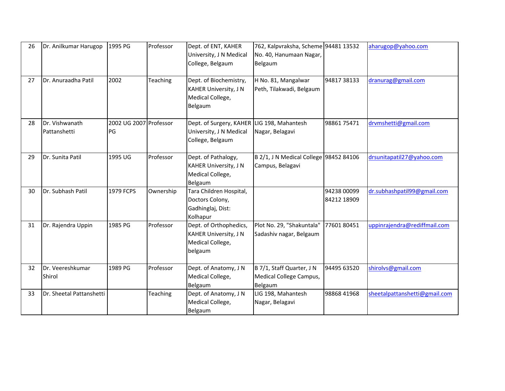| 26 | Dr. Anilkumar Harugop          | 1995 PG                      | Professor | Dept. of ENT, KAHER<br>University, J N Medical<br>College, Belgaum                        | 762, Kalpvraksha, Scheme 94481 13532<br>No. 40, Hanumaan Nagar,<br>Belgaum |                            | aharugop@yahoo.com            |
|----|--------------------------------|------------------------------|-----------|-------------------------------------------------------------------------------------------|----------------------------------------------------------------------------|----------------------------|-------------------------------|
| 27 | Dr. Anuraadha Patil            | 2002                         | Teaching  | Dept. of Biochemistry,<br><b>KAHER University, J N</b><br>Medical College,<br>Belgaum     | H No. 81, Mangalwar<br>Peth, Tilakwadi, Belgaum                            | 94817 38133                | dranurag@gmail.com            |
| 28 | Dr. Vishwanath<br>Pattanshetti | 2002 UG 2007 Professor<br>PG |           | Dept. of Surgery, KAHER LIG 198, Mahantesh<br>University, J N Medical<br>College, Belgaum | Nagar, Belagavi                                                            | 9886175471                 | drvmshetti@gmail.com          |
| 29 | Dr. Sunita Patil               | 1995 UG                      | Professor | Dept. of Pathalogy,<br>KAHER University, J N<br>Medical College,<br>Belgaum               | B 2/1, J N Medical College 98452 84106<br>Campus, Belagavi                 |                            | drsunitapatil27@yahoo.com     |
| 30 | Dr. Subhash Patil              | 1979 FCPS                    | Ownership | Tara Children Hospital,<br>Doctors Colony,<br>Gadhinglaj, Dist:<br>Kolhapur               |                                                                            | 94238 00099<br>84212 18909 | dr.subhashpatil99@gmail.com   |
| 31 | Dr. Rajendra Uppin             | 1985 PG                      | Professor | Dept. of Orthophedics,<br><b>KAHER University, J N</b><br>Medical College,<br>belgaum     | Plot No. 29, "Shakuntala"<br>Sadashiv nagar, Belgaum                       | 7760180451                 | uppinrajendra@rediffmail.com  |
| 32 | Dr. Veereshkumar<br>Shirol     | 1989 PG                      | Professor | Dept. of Anatomy, J N<br>Medical College,<br>Belgaum                                      | B 7/1, Staff Quarter, J N<br>Medical College Campus,<br>Belgaum            | 94495 63520                | shirolvs@gmail.com            |
| 33 | Dr. Sheetal Pattanshetti       |                              | Teaching  | Dept. of Anatomy, J N<br>Medical College,<br>Belgaum                                      | LIG 198, Mahantesh<br>Nagar, Belagavi                                      | 98868 41968                | sheetalpattanshetti@gmail.com |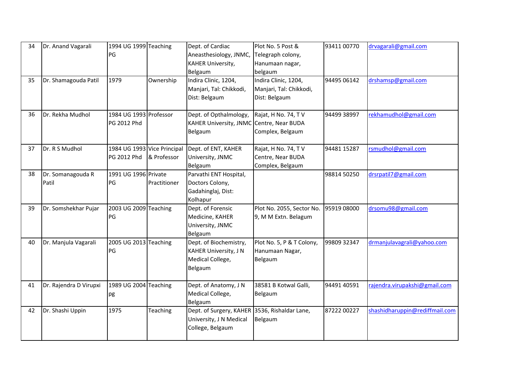| 34 | Dr. Anand Vagarali     | 1994 UG 1999 Teaching       |              | Dept. of Cardiac                              | Plot No. 5 Post &         | 93411 00770 | drvagarali@gmail.com           |
|----|------------------------|-----------------------------|--------------|-----------------------------------------------|---------------------------|-------------|--------------------------------|
|    |                        | PG                          |              | Aneasthesiology, JNMC,                        | Telegraph colony,         |             |                                |
|    |                        |                             |              | <b>KAHER University,</b>                      | Hanumaan nagar,           |             |                                |
|    |                        |                             |              | Belgaum                                       | belgaum                   |             |                                |
| 35 | Dr. Shamagouda Patil   | 1979                        | Ownership    | Indira Clinic, 1204,                          | Indira Clinic, 1204,      | 94495 06142 | drshamsp@gmail.com             |
|    |                        |                             |              | Manjari, Tal: Chikkodi,                       | Manjari, Tal: Chikkodi,   |             |                                |
|    |                        |                             |              | Dist: Belgaum                                 | Dist: Belgaum             |             |                                |
| 36 | Dr. Rekha Mudhol       | 1984 UG 1993 Professor      |              | Dept. of Opthalmology,                        | Rajat, H No. 74, T V      | 94499 38997 | rekhamudhol@gmail.com          |
|    |                        | PG 2012 Phd                 |              | KAHER University, JNMC Centre, Near BUDA      |                           |             |                                |
|    |                        |                             |              | Belgaum                                       | Complex, Belgaum          |             |                                |
| 37 | Dr. R S Mudhol         | 1984 UG 1993 Vice Principal |              | Dept. of ENT, KAHER                           | Rajat, H No. 74, T V      | 94481 15287 | rsmudhol@gmail.com             |
|    |                        | PG 2012 Phd                 | & Professor  | University, JNMC                              | Centre, Near BUDA         |             |                                |
|    |                        |                             |              | Belgaum                                       | Complex, Belgaum          |             |                                |
| 38 | Dr. Somanagouda R      | 1991 UG 1996 Private        |              | Parvathi ENT Hospital,                        |                           | 98814 50250 | drsrpatil7@gmail.com           |
|    | Patil                  | PG                          | Practitioner | Doctors Colony,                               |                           |             |                                |
|    |                        |                             |              | Gadahinglaj, Dist:                            |                           |             |                                |
|    |                        |                             |              | Kolhapur                                      |                           |             |                                |
| 39 | Dr. Somshekhar Pujar   | 2003 UG 2009 Teaching       |              | Dept. of Forensic                             | Plot No. 2055, Sector No. | 95919 08000 | drsomu98@gmail.com             |
|    |                        | PG                          |              | Medicine, KAHER                               | 9, M M Extn. Belagum      |             |                                |
|    |                        |                             |              | University, JNMC                              |                           |             |                                |
|    |                        |                             |              | Belgaum                                       |                           |             |                                |
| 40 | Dr. Manjula Vagarali   | 2005 UG 2013 Teaching       |              | Dept. of Biochemistry,                        | Plot No. 5, P & T Colony, | 99809 32347 | drmanjulavagrali@yahoo.com     |
|    |                        | PG                          |              | <b>KAHER University, J N</b>                  | Hanumaan Nagar,           |             |                                |
|    |                        |                             |              | Medical College,                              | Belgaum                   |             |                                |
|    |                        |                             |              | Belgaum                                       |                           |             |                                |
| 41 | Dr. Rajendra D Virupxi | 1989 UG 2004 Teaching       |              | Dept. of Anatomy, J N                         | 38581 B Kotwal Galli,     | 94491 40591 | rajendra.virupakshi@gmail.com  |
|    |                        | pg                          |              | Medical College,                              | Belgaum                   |             |                                |
|    |                        |                             |              | Belgaum                                       |                           |             |                                |
| 42 | Dr. Shashi Uppin       | 1975                        | Teaching     | Dept. of Surgery, KAHER 3536, Rishaldar Lane, |                           | 87222 00227 | shashidharuppin@rediffmail.com |
|    |                        |                             |              | University, J N Medical                       | Belgaum                   |             |                                |
|    |                        |                             |              | College, Belgaum                              |                           |             |                                |
|    |                        |                             |              |                                               |                           |             |                                |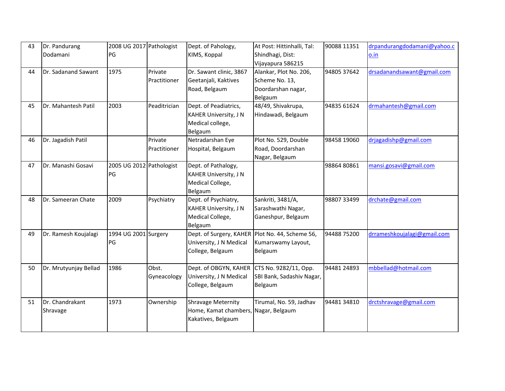| 43 | Dr. Pandurang         | 2008 UG 2017 Pathologist |              | Dept. of Pahology,                   | At Post: Hittinhalli, Tal:                        | 90088 11351 | drpandurangdodamani@yahoo.c |
|----|-----------------------|--------------------------|--------------|--------------------------------------|---------------------------------------------------|-------------|-----------------------------|
|    | Dodamani              | PG                       |              | KIMS, Koppal                         | Shindhagi, Dist:                                  |             | o.in                        |
|    |                       |                          |              |                                      | Vijayapura 586215                                 |             |                             |
| 44 | Dr. Sadanand Sawant   | 1975                     | Private      | Dr. Sawant clinic, 3867              | Alankar, Plot No. 206,                            | 94805 37642 | drsadanandsawant@gmail.com  |
|    |                       |                          | Practitioner | Geetanjali, Kaktives                 | Scheme No. 13,                                    |             |                             |
|    |                       |                          |              | Road, Belgaum                        | Doordarshan nagar,                                |             |                             |
|    |                       |                          |              |                                      | Belgaum                                           |             |                             |
| 45 | Dr. Mahantesh Patil   | 2003                     | Peaditrician | Dept. of Peadiatrics,                | 48/49, Shivakrupa,                                | 94835 61624 | drmahantesh@gmail.com       |
|    |                       |                          |              | <b>KAHER University, J N</b>         | Hindawadi, Belgaum                                |             |                             |
|    |                       |                          |              | Medical college,                     |                                                   |             |                             |
|    |                       |                          |              | Belgaum                              |                                                   |             |                             |
| 46 | Dr. Jagadish Patil    |                          | Private      | Netradarshan Eye                     | Plot No. 529, Double                              | 98458 19060 | drjagadishp@gmail.com       |
|    |                       |                          | Practitioner | Hospital, Belgaum                    | Road, Doordarshan                                 |             |                             |
|    |                       |                          |              |                                      | Nagar, Belgaum                                    |             |                             |
| 47 | Dr. Manashi Gosavi    | 2005 UG 2012 Pathologist |              | Dept. of Pathalogy,                  |                                                   | 9886480861  | mansi.gosavi@gmail.com      |
|    |                       | PG                       |              | <b>KAHER University, J N</b>         |                                                   |             |                             |
|    |                       |                          |              | Medical College,                     |                                                   |             |                             |
|    |                       |                          |              | Belgaum                              |                                                   |             |                             |
| 48 | Dr. Sameeran Chate    | 2009                     | Psychiatry   | Dept. of Psychiatry,                 | Sankriti, 3481/A,                                 | 98807 33499 | drchate@gmail.com           |
|    |                       |                          |              | <b>KAHER University, J N</b>         | Sarashwathi Nagar,                                |             |                             |
|    |                       |                          |              | Medical College,                     | Ganeshpur, Belgaum                                |             |                             |
|    |                       |                          |              | Belgaum                              |                                                   |             |                             |
| 49 | Dr. Ramesh Koujalagi  | 1994 UG 2001 Surgery     |              |                                      | Dept. of Surgery, KAHER   Plot No. 44, Scheme 56, | 94488 75200 | drrameshkoujalagi@gmail.com |
|    |                       | PG                       |              | University, J N Medical              | Kumarswamy Layout,                                |             |                             |
|    |                       |                          |              | College, Belgaum                     | Belgaum                                           |             |                             |
|    |                       |                          |              |                                      |                                                   |             |                             |
| 50 | Dr. Mrutyunjay Bellad | 1986                     | Obst.        | Dept. of OBGYN, KAHER                | CTS No. 9282/11, Opp.                             | 94481 24893 | mbbellad@hotmail.com        |
|    |                       |                          | Gyneacology  | University, J N Medical              | SBI Bank, Sadashiv Nagar,                         |             |                             |
|    |                       |                          |              | College, Belgaum                     | Belgaum                                           |             |                             |
|    |                       |                          |              |                                      |                                                   |             |                             |
| 51 | Dr. Chandrakant       | 1973                     | Ownership    | <b>Shravage Meternity</b>            | Tirumal, No. 59, Jadhav                           | 94481 34810 | drctshravage@gmail.com      |
|    | Shravage              |                          |              | Home, Kamat chambers, Nagar, Belgaum |                                                   |             |                             |
|    |                       |                          |              | Kakatives, Belgaum                   |                                                   |             |                             |
|    |                       |                          |              |                                      |                                                   |             |                             |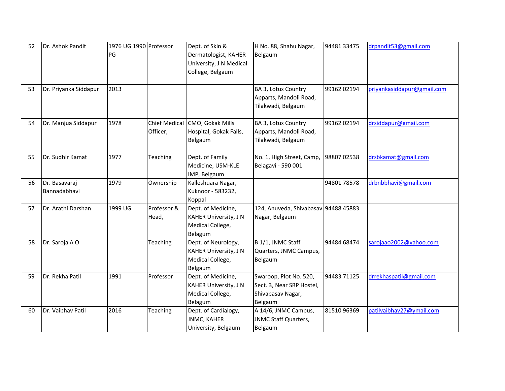| 52 | Dr. Ashok Pandit              | 1976 UG 1990 Professor<br>PG |                                  | Dept. of Skin &<br>Dermatologist, KAHER<br>University, J N Medical<br>College, Belgaum | H No. 88, Shahu Nagar,<br>Belgaum                                                   | 94481 33475 | drpandit53@gmail.com       |
|----|-------------------------------|------------------------------|----------------------------------|----------------------------------------------------------------------------------------|-------------------------------------------------------------------------------------|-------------|----------------------------|
| 53 | Dr. Priyanka Siddapur         | 2013                         |                                  |                                                                                        | BA 3, Lotus Country<br>Apparts, Mandoli Road,<br>Tilakwadi, Belgaum                 | 99162 02194 | priyankasiddapur@gmail.com |
| 54 | Dr. Manjua Siddapur           | 1978                         | <b>Chief Medical</b><br>Officer, | CMO, Gokak Mills<br>Hospital, Gokak Falls,<br>Belgaum                                  | BA 3, Lotus Country<br>Apparts, Mandoli Road,<br>Tilakwadi, Belgaum                 | 99162 02194 | drsiddapur@gmail.com       |
| 55 | Dr. Sudhir Kamat              | 1977                         | Teaching                         | Dept. of Family<br>Medicine, USM-KLE<br>IMP, Belgaum                                   | No. 1, High Street, Camp,<br>Belagavi - 590 001                                     | 98807 02538 | drsbkamat@gmail.com        |
| 56 | Dr. Basavaraj<br>Bannadabhavi | 1979                         | Ownership                        | Kalleshuara Nagar,<br>Kuknoor - 583232,<br>Koppal                                      |                                                                                     | 9480178578  | drbnbbhavi@gmail.com       |
| 57 | Dr. Arathi Darshan            | 1999 UG                      | Professor &<br>Head,             | Dept. of Medicine,<br><b>KAHER University, J N</b><br>Medical College,<br>Belagum      | 124, Anuveda, Shivabasav 94488 45883<br>Nagar, Belgaum                              |             |                            |
| 58 | Dr. Saroja A O                |                              | Teaching                         | Dept. of Neurology,<br><b>KAHER University, J N</b><br>Medical College,<br>Belgaum     | B 1/1, JNMC Staff<br>Quarters, JNMC Campus,<br>Belgaum                              | 94484 68474 | sarojaao2002@yahoo.com     |
| 59 | Dr. Rekha Patil               | 1991                         | Professor                        | Dept. of Medicine,<br><b>KAHER University, J N</b><br>Medical College,<br>Belagum      | Swaroop, Plot No. 520,<br>Sect. 3, Near SRP Hostel,<br>Shivabasav Nagar,<br>Belgaum | 94483 71125 | drrekhaspatil@gmail.com    |
| 60 | Dr. Vaibhav Patil             | 2016                         | Teaching                         | Dept. of Cardialogy,<br><b>JNMC, KAHER</b><br>University, Belgaum                      | A 14/6, JNMC Campus,<br><b>JNMC Staff Quarters,</b><br>Belgaum                      | 8151096369  | patilvaibhav27@ymail.com   |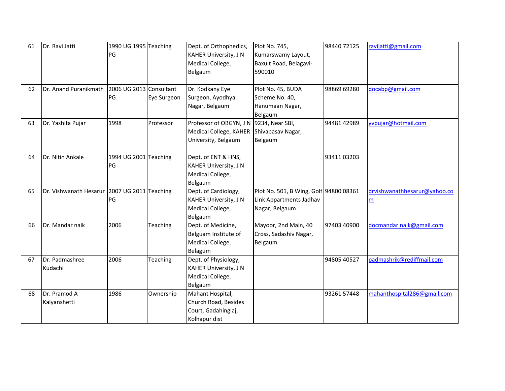| 61 | Dr. Ravi Jatti               | 1990 UG 1995 Teaching<br>PG   |                 | Dept. of Orthophedics,<br><b>KAHER University, J N</b><br>Medical College,<br>Belgaum | Plot No. 745,<br>Kumarswamy Layout,<br>Baxuit Road, Belagavi-<br>590010             | 98440 72125 | ravijatti@gmail.com               |
|----|------------------------------|-------------------------------|-----------------|---------------------------------------------------------------------------------------|-------------------------------------------------------------------------------------|-------------|-----------------------------------|
| 62 | Dr. Anand Puranikmath        | 2006 UG 2013 Consultant<br>PG | Eye Surgeon     | Dr. Kodkany Eye<br>Surgeon, Ayodhya<br>Nagar, Belgaum                                 | Plot No. 45, BUDA<br>Scheme No. 40,<br>Hanumaan Nagar,<br>Belgaum                   | 98869 69280 | docabp@gmail.com                  |
| 63 | Dr. Yashita Pujar            | 1998                          | Professor       | Professor of OBGYN, J N<br>Medical College, KAHER<br>University, Belgaum              | 9234, Near SBI,<br>Shivabasav Nagar,<br>Belgaum                                     | 94481 42989 | yvpujar@hotmail.com               |
| 64 | Dr. Nitin Ankale             | 1994 UG 2001 Teaching<br>PG   |                 | Dept. of ENT & HNS,<br><b>KAHER University, J N</b><br>Medical College,<br>Belgaum    |                                                                                     | 9341103203  |                                   |
| 65 | Dr. Vishwanath Hesarur       | 2007 UG 2011 Teaching<br>PG   |                 | Dept. of Cardiology,<br><b>KAHER University, J N</b><br>Medical College,<br>Belgaum   | Plot No. 501, B Wing, Golf 94800 08361<br>Link Appartments Jadhav<br>Nagar, Belgaum |             | drvishwanathhesarur@yahoo.co<br>m |
| 66 | Dr. Mandar naik              | 2006                          | Teaching        | Dept. of Medicine,<br>Belguam Institute of<br>Medical College,<br>Belagum             | Mayoor, 2nd Main, 40<br>Cross, Sadashiv Nagar,<br>Belgaum                           | 97403 40900 | docmandar.naik@gmail.com          |
| 67 | Dr. Padmashree<br>Kudachi    | 2006                          | <b>Teaching</b> | Dept. of Physiology,<br><b>KAHER University, J N</b><br>Medical College,<br>Belgaum   |                                                                                     | 94805 40527 | padmashrik@rediffmail.com         |
| 68 | Dr. Pramod A<br>Kalyanshetti | 1986                          | Ownership       | Mahant Hospital,<br>Church Road, Besides<br>Court, Gadahinglaj,<br>Kolhapur dist      |                                                                                     | 93261 57448 | mahanthospital286@gmail.com       |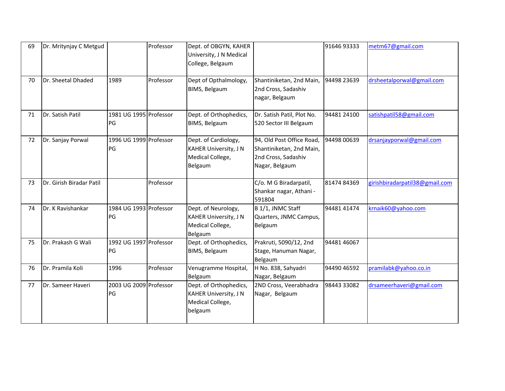| 69 | Dr. Mritynjay C Metgud   |                              | Professor | Dept. of OBGYN, KAHER<br>University, J N Medical<br>College, Belgaum                  |                                                                                                | 91646 93333 | metm67@gmail.com               |
|----|--------------------------|------------------------------|-----------|---------------------------------------------------------------------------------------|------------------------------------------------------------------------------------------------|-------------|--------------------------------|
| 70 | Dr. Sheetal Dhaded       | 1989                         | Professor | Dept of Opthalmology,<br>BIMS, Belgaum                                                | Shantiniketan, 2nd Main,<br>2nd Cross, Sadashiv<br>nagar, Belgaum                              | 94498 23639 | drsheetalporwal@gmail.com      |
| 71 | Dr. Satish Patil         | 1981 UG 1995 Professor<br>PG |           | Dept. of Orthophedics,<br>BIMS, Belgaum                                               | Dr. Satish Patil, Plot No.<br>520 Sector III Belgaum                                           | 94481 24100 | satishpatil58@gmail.com        |
| 72 | Dr. Sanjay Porwal        | 1996 UG 1999 Professor<br>PG |           | Dept. of Cardiology,<br><b>KAHER University, J N</b><br>Medical College,<br>Belgaum   | 94, Old Post Office Road,<br>Shantiniketan, 2nd Main,<br>2nd Cross, Sadashiv<br>Nagar, Belgaum | 94498 00639 | drsanjayporwal@gmail.com       |
| 73 | Dr. Girish Biradar Patil |                              | Professor |                                                                                       | C/o. M G Biradarpatil,<br>Shankar nagar, Athani -<br>591804                                    | 8147484369  | girishbiradarpatil38@gmail.com |
| 74 | Dr. K Ravishankar        | 1984 UG 1993 Professor<br>PG |           | Dept. of Neurology,<br><b>KAHER University, J N</b><br>Medical College,<br>Belgaum    | B 1/1, JNMC Staff<br>Quarters, JNMC Campus,<br>Belgaum                                         | 94481 41474 | krnaik60@yahoo.com             |
| 75 | Dr. Prakash G Wali       | 1992 UG 1997 Professor<br>PG |           | Dept. of Orthophedics,<br>BIMS, Belgaum                                               | Prakruti, 5090/12, 2nd<br>Stage, Hanuman Nagar,<br>Belgaum                                     | 94481 46067 |                                |
| 76 | Dr. Pramila Koli         | 1996                         | Professor | Venugramme Hospital,<br>Belgaum                                                       | H No. 838, Sahyadri<br>Nagar, Belgaum                                                          | 94490 46592 | pramilabk@yahoo.co.in          |
| 77 | Dr. Sameer Haveri        | 2003 UG 2009 Professor<br>PG |           | Dept. of Orthophedics,<br><b>KAHER University, J N</b><br>Medical College,<br>belgaum | 2ND Cross, Veerabhadra<br>Nagar, Belgaum                                                       | 98443 33082 | drsameerhaveri@gmail.com       |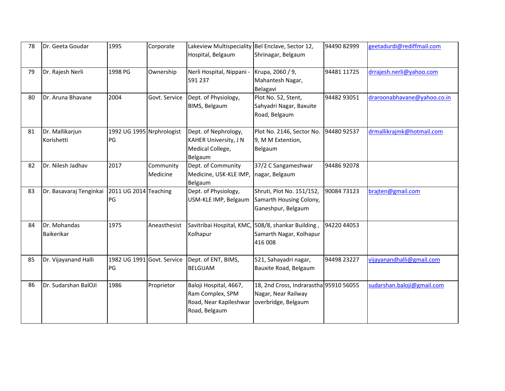| 78 | Dr. Geeta Goudar              | 1995                                    | Corporate             | Lakeview Multispeciality Bel Enclave, Sector 12,<br>Hospital, Belgaum                 | Shrinagar, Belgaum                                                                       | 94490 82999 | geetadurdi@rediffmail.com   |
|----|-------------------------------|-----------------------------------------|-----------------------|---------------------------------------------------------------------------------------|------------------------------------------------------------------------------------------|-------------|-----------------------------|
| 79 | Dr. Rajesh Nerli              | 1998 PG                                 | Ownership             | Nerli Hospital, Nippani -<br>591 237                                                  | Krupa, 2060 / 9,<br>Mahantesh Nagar,<br>Belagavi                                         | 94481 11725 | drrajesh.nerli@yahoo.com    |
| 80 | Dr. Aruna Bhavane             | 2004                                    | Govt. Service         | Dept. of Physiology,<br>BIMS, Belgaum                                                 | Plot No. 52, Stent,<br>Sahyadri Nagar, Baxuite<br>Road, Belgaum                          | 94482 93051 | draroonabhavane@yahoo.co.in |
| 81 | Dr. Mallikarjun<br>Korishetti | 1992 UG 1995 Nrphrologist<br><b>IPG</b> |                       | Dept. of Nephrology,<br><b>KAHER University, J N</b><br>Medical College,<br>Belgaum   | Plot No. 2146, Sector No.<br>9, M M Extention,<br>Belgaum                                | 94480 92537 | drmallikrajmk@hotmail.com   |
| 82 | Dr. Nilesh Jadhav             | 2017                                    | Community<br>Medicine | Dept. of Community<br>Medicine, USK-KLE IMP,<br>Belgaum                               | 37/2 C Sangameshwar<br>nagar, Belgaum                                                    | 94486 92078 |                             |
| 83 | Dr. Basavaraj Tenginkai       | 2011 UG 2014 Teaching<br>PG             |                       | Dept. of Physiology,<br>USM-KLE IMP, Belgaum                                          | Shruti, Plot No. 151/152,<br>Samarth Housing Colony,<br>Ganeshpur, Belgaum               | 90084 73123 | brajten@gmail.com           |
| 84 | Dr. Mohandas<br>Baikerikar    | 1975                                    | Aneasthesist          | Kolhapur                                                                              | Savitribai Hospital, KMC, 508/8, shankar Building,<br>Samarth Nagar, Kolhapur<br>416 008 | 94220 44053 |                             |
| 85 | Dr. Vijayanand Halli          | 1982 UG 1991 Govt. Service<br>PG        |                       | Dept. of ENT, BIMS,<br><b>BELGUAM</b>                                                 | 521, Sahayadri nagar,<br>Bauxite Road, Belgaum                                           | 94498 23227 | vijayanandhalli@gmail.com   |
| 86 | Dr. Sudarshan BalOJI          | 1986                                    | Proprietor            | Baloji Hospital, 4667,<br>Ram Complex, SPM<br>Road, Near Kapileshwar<br>Road, Belgaum | 18, 2nd Cross, Indrarastha 95910 56055<br>Nagar, Near Railway<br>overbridge, Belgaum     |             | sudarshan.baloji@gmail.com  |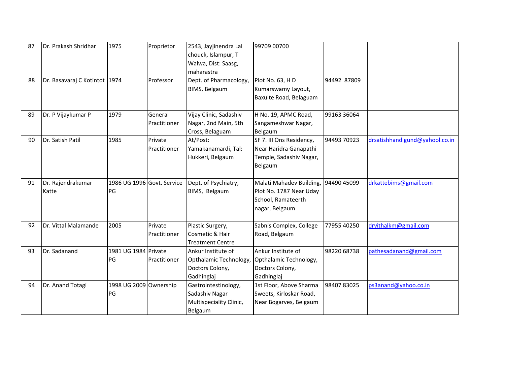| 87<br>88 | Dr. Prakash Shridhar<br>Dr. Basavaraj C Kotintot 1974 | 1975                                     | Proprietor<br>Professor | 2543, Jayjinendra Lal<br>chouck, Islampur, T<br>Walwa, Dist: Saasg,<br>maharastra<br>Dept. of Pharmacology, | 99709 00700<br>Plot No. 63, HD                                                              | 94492 87809 |                                |
|----------|-------------------------------------------------------|------------------------------------------|-------------------------|-------------------------------------------------------------------------------------------------------------|---------------------------------------------------------------------------------------------|-------------|--------------------------------|
|          |                                                       |                                          |                         | BIMS, Belgaum                                                                                               | Kumarswamy Layout,<br>Baxuite Road, Belaguam                                                |             |                                |
| 89       | Dr. P Vijaykumar P                                    | 1979                                     | General<br>Practitioner | Vijay Clinic, Sadashiv<br>Nagar, 2nd Main, 5th<br>Cross, Belaguam                                           | H No. 19, APMC Road,<br>Sangameshwar Nagar,<br>Belgaum                                      | 99163 36064 |                                |
| 90       | Dr. Satish Patil                                      | 1985                                     | Private<br>Practitioner | At/Post:<br>Yamakanamardi, Tal:<br>Hukkeri, Belgaum                                                         | SF 7. III Ons Residency,<br>Near Haridra Ganapathi<br>Temple, Sadashiv Nagar,<br>Belgaum    | 94493 70923 | drsatishhandigund@yahool.co.in |
| 91       | Dr. Rajendrakumar<br>Katte                            | 1986 UG 1996 Govt. Service<br><b>IPG</b> |                         | Dept. of Psychiatry,<br>BIMS, Belgaum                                                                       | Malati Mahadev Building,<br>Plot No. 1787 Near Uday<br>School, Ramateerth<br>nagar, Belgaum | 94490 45099 | drkattebims@gmail.com          |
| 92       | Dr. Vittal Malamande                                  | 2005                                     | Private<br>Practitioner | Plastic Surgery,<br>Cosmetic & Hair<br><b>Treatment Centre</b>                                              | Sabnis Complex, College<br>Road, Belgaum                                                    | 77955 40250 | drvithalkm@gmail.com           |
| 93       | Dr. Sadanand                                          | 1981 UG 1984 Private<br>PG               | Practitioner            | Ankur Institute of<br>Opthalamic Technology,<br>Doctors Colony,<br>Gadhinglaj                               | Ankur Institute of<br>Opthalamic Technology,<br>Doctors Colony,<br>Gadhinglaj               | 98220 68738 | pathesadanand@gmail.com        |
| 94       | Dr. Anand Totagi                                      | 1998 UG 2009 Ownership<br>PG             |                         | Gastrointestinology,<br>Sadashiv Nagar<br>Multispeciality Clinic,<br>Belgaum                                | 1st Floor, Above Sharma<br>Sweets, Kirloskar Road,<br>Near Bogarves, Belgaum                | 9840783025  | ps3anand@yahoo.co.in           |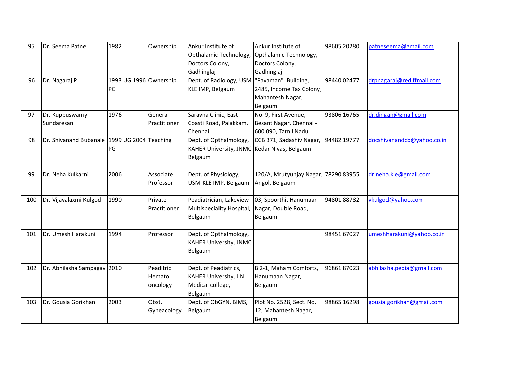| 95  | Dr. Seema Patne                              | 1982                         | Ownership                       | Ankur Institute of<br>Opthalamic Technology,                                         | Ankur Institute of<br>Opthalamic Technology,                                   | 98605 20280 | patneseema@gmail.com       |
|-----|----------------------------------------------|------------------------------|---------------------------------|--------------------------------------------------------------------------------------|--------------------------------------------------------------------------------|-------------|----------------------------|
|     |                                              |                              |                                 | Doctors Colony,<br>Gadhinglaj                                                        | Doctors Colony,<br>Gadhinglaj                                                  |             |                            |
| 96  | Dr. Nagaraj P                                | 1993 UG 1996 Ownership<br>PG |                                 | Dept. of Radiology, USM<br>KLE IMP, Belgaum                                          | "Pavaman" Building,<br>2485, Income Tax Colony,<br>Mahantesh Nagar,<br>Belgaum | 98440 02477 | drpnagaraj@rediffmail.com  |
| 97  | Dr. Kuppuswamy<br>Sundaresan                 | 1976                         | General<br>Practitioner         | Saravna Clinic, East<br>Coasti Road, Palakkam,<br>Chennai                            | No. 9, First Avenue,<br>Besant Nagar, Chennai -<br>600 090, Tamil Nadu         | 93806 16765 | dr.dingan@gmail.com        |
| 98  | Dr. Shivanand Bubanale 1999 UG 2004 Teaching | PG                           |                                 | Dept. of Opthalmology,<br>KAHER University, JNMC Kedar Nivas, Belgaum<br>Belgaum     | CCB 371, Sadashiv Nagar,                                                       | 94482 19777 | docshivanandcb@yahoo.co.in |
| 99  | Dr. Neha Kulkarni                            | 2006                         | Associate<br>Professor          | Dept. of Physiology,<br>USM-KLE IMP, Belgaum                                         | 120/A, Mrutyunjay Nagar,<br>Angol, Belgaum                                     | 78290 83955 | dr.neha.kle@gmail.com      |
| 100 | Dr. Vijayalaxmi Kulgod                       | 1990                         | Private<br>Practitioner         | Peadiatrician, Lakeview<br>Multispeciality Hospital,<br>Belgaum                      | 03, Spoorthi, Hanumaan<br>Nagar, Double Road,<br>Belgaum                       | 9480188782  | vkulgod@yahoo.com          |
| 101 | Dr. Umesh Harakuni                           | 1994                         | Professor                       | Dept. of Opthalmology,<br><b>KAHER University, JNMC</b><br>Belgaum                   |                                                                                | 98451 67027 | umeshharakuni@yahoo.co.in  |
| 102 | Dr. Abhilasha Sampagav 2010                  |                              | Peaditric<br>Hemato<br>oncology | Dept. of Peadiatrics,<br><b>KAHER University, J N</b><br>Medical college,<br>Belgaum | B 2-1, Maham Comforts,<br>Hanumaan Nagar,<br>Belgaum                           | 9686187023  | abhilasha.pedia@gmail.com  |
| 103 | Dr. Gousia Gorikhan                          | 2003                         | Obst.<br>Gyneacology            | Dept. of ObGYN, BIMS,<br>Belgaum                                                     | Plot No. 2528, Sect. No.<br>12, Mahantesh Nagar,<br>Belgaum                    | 98865 16298 | gousia.gorikhan@gmail.com  |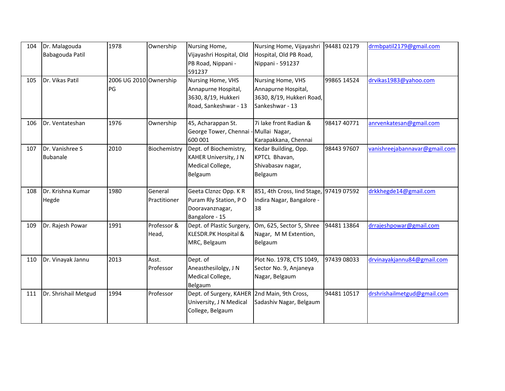| 104 | Dr. Malagouda<br>Babagouda Patil   | 1978                         | Ownership               | Nursing Home,<br>Vijayashri Hospital, Old<br>PB Road, Nippani -<br>591237                   | Nursing Home, Vijayashri<br>Hospital, Old PB Road,<br>Nippani - 591237                   | 9448102179  | drmbpatil2179@gmail.com       |
|-----|------------------------------------|------------------------------|-------------------------|---------------------------------------------------------------------------------------------|------------------------------------------------------------------------------------------|-------------|-------------------------------|
| 105 | Dr. Vikas Patil                    | 2006 UG 2010 Ownership<br>PG |                         | Nursing Home, VHS<br>Annapurne Hospital,<br>3630, 8/19, Hukkeri<br>Road, Sankeshwar - 13    | Nursing Home, VHS<br>Annapurne Hospital,<br>3630, 8/19, Hukkeri Road,<br>Sankeshwar - 13 | 99865 14524 | drvikas1983@yahoo.com         |
| 106 | Dr. Ventateshan                    | 1976                         | Ownership               | 45, Acharappan St.<br>George Tower, Chennai - Mullai Nagar,<br>600 001                      | 7i lake front Radian &<br>Karapakkana, Chennai                                           | 98417 40771 | anrvenkatesan@gmail.com       |
| 107 | Dr. Vanishree S<br><b>Bubanale</b> | 2010                         | Biochemistry            | Dept. of Biochemistry,<br><b>KAHER University, J N</b><br>Medical College,<br>Belgaum       | Kedar Building, Opp.<br>KPTCL Bhavan,<br>Shivabasav nagar,<br>Belgaum                    | 98443 97607 | vanishreejabannavar@gmail.com |
| 108 | Dr. Krishna Kumar<br>Hegde         | 1980                         | General<br>Practitioner | Geeta Clznzc Opp. K R<br>Puram Rly Station, PO<br>Dooravanznagar,<br>Bangalore - 15         | 851, 4th Cross, lind Stage,<br>Indira Nagar, Bangalore -<br>38                           | 97419 07592 | drkkhegde14@gmail.com         |
| 109 | Dr. Rajesh Powar                   | 1991                         | Professor &<br>Head,    | Dept. of Plastic Surgery,<br>KLESDR.PK Hospital &<br>MRC, Belgaum                           | Om, 625, Sector 5, Shree<br>Nagar, M M Extention,<br>Belgaum                             | 94481 13864 | drrajeshpowar@gmail.com       |
| 110 | Dr. Vinayak Jannu                  | 2013                         | Asst.<br>Professor      | Dept. of<br>Aneasthesilolgy, J N<br>Medical College,<br>Belgaum                             | Plot No. 1978, CTS 1049,<br>Sector No. 9, Anjaneya<br>Nagar, Belgaum                     | 97439 08033 | drvinayakjannu84@gmail.com    |
| 111 | Dr. Shrishail Metgud               | 1994                         | Professor               | Dept. of Surgery, KAHER 2nd Main, 9th Cross,<br>University, J N Medical<br>College, Belgaum | Sadashiv Nagar, Belgaum                                                                  | 94481 10517 | drshrishailmetgud@gmail.com   |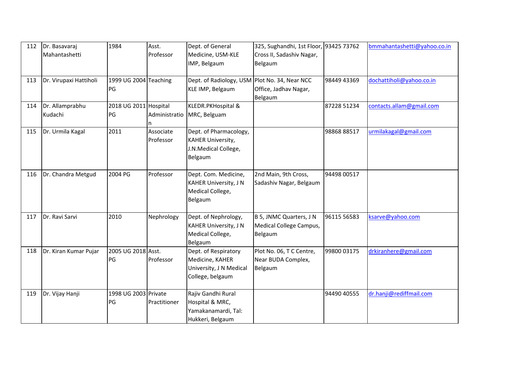| 112 | Dr. Basavaraj<br>Mahantashetti | 1984                       | Asst.<br>Professor        | Dept. of General<br>Medicine, USM-KLE<br>IMP, Belgaum                                  | 325, Sughandhi, 1st Floor, 93425 73762<br>Cross II, Sadashiv Nagar,<br>Belgaum |             | bmmahantashetti@yahoo.co.in |
|-----|--------------------------------|----------------------------|---------------------------|----------------------------------------------------------------------------------------|--------------------------------------------------------------------------------|-------------|-----------------------------|
| 113 | Dr. Virupaxi Hattiholi         | 1999 UG 2004<br>PG         | <b>Teaching</b>           | Dept. of Radiology, USM Plot No. 34, Near NCC<br>KLE IMP, Belgaum                      | Office, Jadhav Nagar,<br>Belgaum                                               | 98449 43369 | dochattiholi@yahoo.co.in    |
| 114 | Dr. Allamprabhu<br>Kudachi     | 2018 UG 2011<br>PG         | Hospital<br>Administratio | KLEDR.PKHospital &<br>MRC, Belguam                                                     |                                                                                | 87228 51234 | contacts.allam@gmail.com    |
| 115 | Dr. Urmila Kagal               | 2011                       | Associate<br>Professor    | Dept. of Pharmacology,<br><b>KAHER University,</b><br>J.N.Medical College,<br>Belgaum  |                                                                                | 98868 88517 | urmilakagal@gmail.com       |
| 116 | Dr. Chandra Metgud             | 2004 PG                    | Professor                 | Dept. Com. Medicine,<br><b>KAHER University, J N</b><br>Medical College,<br>Belgaum    | 2nd Main, 9th Cross,<br>Sadashiv Nagar, Belgaum                                | 94498 00517 |                             |
| 117 | Dr. Ravi Sarvi                 | 2010                       | Nephrology                | Dept. of Nephrology,<br><b>KAHER University, J N</b><br>Medical College,<br>Belgaum    | B 5, JNMC Quarters, J N<br>Medical College Campus,<br>Belgaum                  | 96115 56583 | ksarve@yahoo.com            |
| 118 | Dr. Kiran Kumar Pujar          | 2005 UG 2018 Asst.<br>PG   | Professor                 | Dept. of Respiratory<br>Medicine, KAHER<br>University, J N Medical<br>College, belgaum | Plot No. 06, T C Centre,<br>Near BUDA Complex,<br>Belgaum                      | 99800 03175 | drkiranhere@gmail.com       |
| 119 | Dr. Vijay Hanji                | 1998 UG 2003 Private<br>PG | Practitioner              | Rajiv Gandhi Rural<br>Hospital & MRC,<br>Yamakanamardi, Tal:<br>Hukkeri, Belgaum       |                                                                                | 94490 40555 | dr.hanji@rediffmail.com     |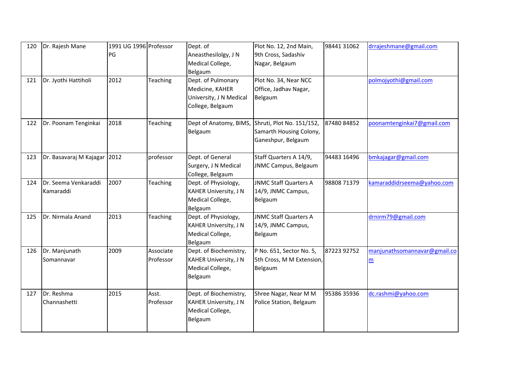| 120<br>121 | Dr. Rajesh Mane<br>Dr. Jyothi Hattiholi | 1991 UG 1996 Professor<br>PG<br>2012 | Teaching               | Dept. of<br>Aneasthesilolgy, J N<br>Medical College,<br>Belgaum<br>Dept. of Pulmonary | Plot No. 12, 2nd Main,<br>9th Cross, Sadashiv<br>Nagar, Belgaum<br>Plot No. 34, Near NCC | 98441 31062 | drrajeshmane@gmail.com<br>polmojyothi@gmail.com |
|------------|-----------------------------------------|--------------------------------------|------------------------|---------------------------------------------------------------------------------------|------------------------------------------------------------------------------------------|-------------|-------------------------------------------------|
|            |                                         |                                      |                        | Medicine, KAHER<br>University, J N Medical<br>College, Belgaum                        | Office, Jadhav Nagar,<br>Belgaum                                                         |             |                                                 |
| 122        | Dr. Poonam Tenginkai                    | 2018                                 | Teaching               | Dept of Anatomy, BIMS,<br>Belgaum                                                     | Shruti, Plot No. 151/152,<br>Samarth Housing Colony,<br>Ganeshpur, Belgaum               | 8748084852  | poonamtenginkai7@gmail.com                      |
| 123        | Dr. Basavaraj M Kajagar 2012            |                                      | professor              | Dept. of General<br>Surgery, J N Medical<br>College, Belgaum                          | Staff Quarters A 14/9,<br><b>JNMC Campus, Belgaum</b>                                    | 94483 16496 | bmkajagar@gmail.com                             |
| 124        | Dr. Seema Venkaraddi<br>Kamaraddi       | 2007                                 | Teaching               | Dept. of Physiology,<br><b>KAHER University, J N</b><br>Medical College,<br>Belgaum   | <b>JNMC Staff Quarters A</b><br>14/9, JNMC Campus,<br>Belgaum                            | 98808 71379 | kamaraddidrseema@yahoo.com                      |
| 125        | Dr. Nirmala Anand                       | 2013                                 | Teaching               | Dept. of Physiology,<br><b>KAHER University, J N</b><br>Medical College,<br>Belgaum   | <b>JNMC Staff Quarters A</b><br>14/9, JNMC Campus,<br>Belgaum                            |             | drnirm79@gmail.com                              |
| 126        | Dr. Manjunath<br>Somannavar             | 2009                                 | Associate<br>Professor | Dept. of Biochemistry,<br><b>KAHER University, J N</b><br>Medical College,<br>Belgaum | P No. 651, Sector No. 5,<br>5th Cross, M M Extension,<br>Belgaum                         | 87223 92752 | manjunathsomannavar@gmail.co<br>m               |
| 127        | Dr. Reshma<br>Channashetti              | 2015                                 | Asst.<br>Professor     | Dept. of Biochemistry,<br><b>KAHER University, J N</b><br>Medical College,<br>Belgaum | Shree Nagar, Near M M<br>Police Station, Belgaum                                         | 95386 35936 | dc.rashmi@yahoo.com                             |